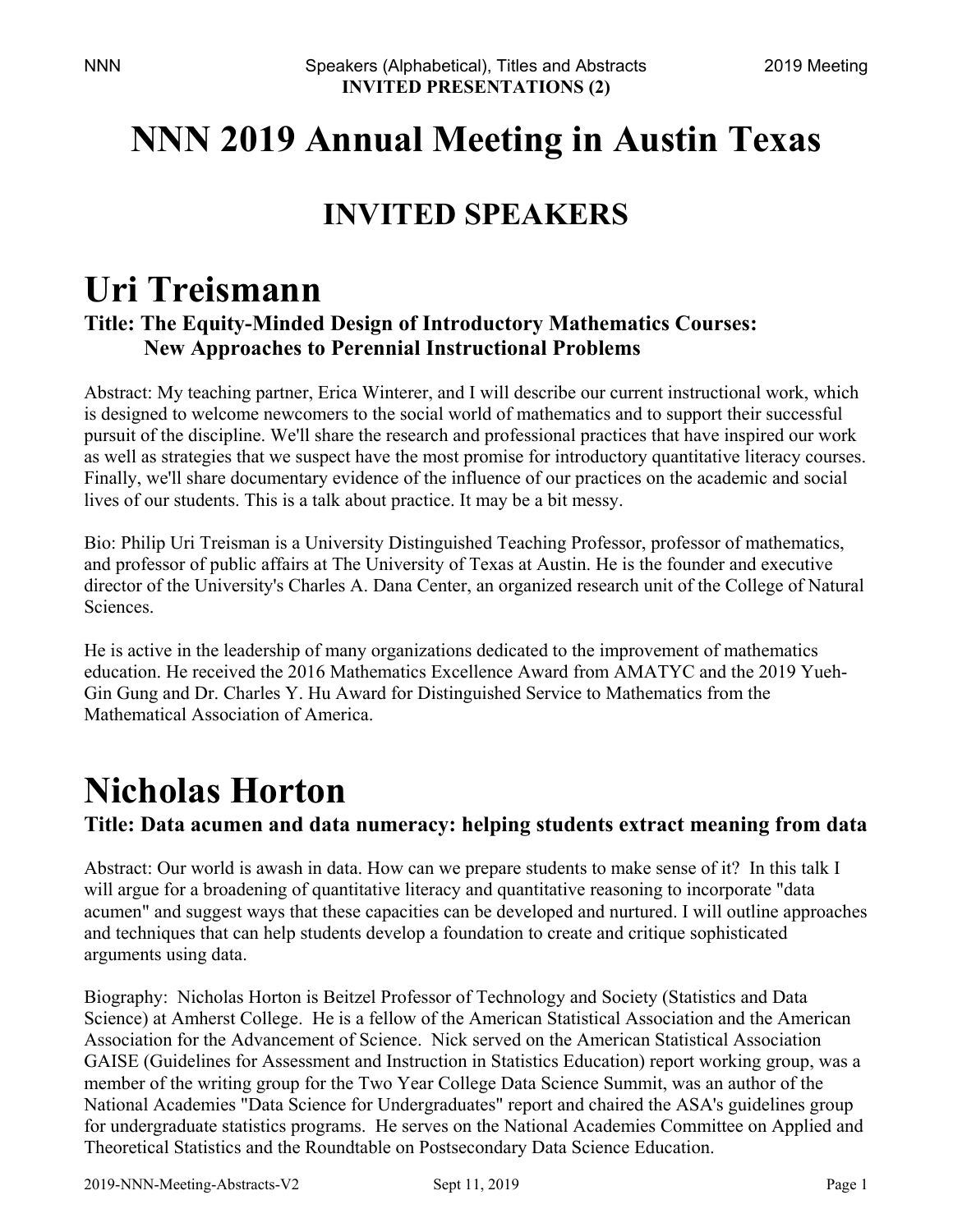## **NNN 2019 Annual Meeting in Austin Texas**

### **INVITED SPEAKERS**

### **Uri Treismann Title: The Equity-Minded Design of Introductory Mathematics Courses: New Approaches to Perennial Instructional Problems**

Abstract: My teaching partner, Erica Winterer, and I will describe our current instructional work, which is designed to welcome newcomers to the social world of mathematics and to support their successful pursuit of the discipline. We'll share the research and professional practices that have inspired our work as well as strategies that we suspect have the most promise for introductory quantitative literacy courses. Finally, we'll share documentary evidence of the influence of our practices on the academic and social lives of our students. This is a talk about practice. It may be a bit messy.

Bio: Philip Uri Treisman is a University Distinguished Teaching Professor, professor of mathematics, and professor of public affairs at The University of Texas at Austin. He is the founder and executive director of the University's Charles A. Dana Center, an organized research unit of the College of Natural Sciences.

He is active in the leadership of many organizations dedicated to the improvement of mathematics education. He received the 2016 Mathematics Excellence Award from AMATYC and the 2019 Yueh-Gin Gung and Dr. Charles Y. Hu Award for Distinguished Service to Mathematics from the Mathematical Association of America.

# **Nicholas Horton**

**Title: Data acumen and data numeracy: helping students extract meaning from data** 

Abstract: Our world is awash in data. How can we prepare students to make sense of it? In this talk I will argue for a broadening of quantitative literacy and quantitative reasoning to incorporate "data acumen" and suggest ways that these capacities can be developed and nurtured. I will outline approaches and techniques that can help students develop a foundation to create and critique sophisticated arguments using data.

Biography: Nicholas Horton is Beitzel Professor of Technology and Society (Statistics and Data Science) at Amherst College. He is a fellow of the American Statistical Association and the American Association for the Advancement of Science. Nick served on the American Statistical Association GAISE (Guidelines for Assessment and Instruction in Statistics Education) report working group, was a member of the writing group for the Two Year College Data Science Summit, was an author of the National Academies "Data Science for Undergraduates" report and chaired the ASA's guidelines group for undergraduate statistics programs. He serves on the National Academies Committee on Applied and Theoretical Statistics and the Roundtable on Postsecondary Data Science Education.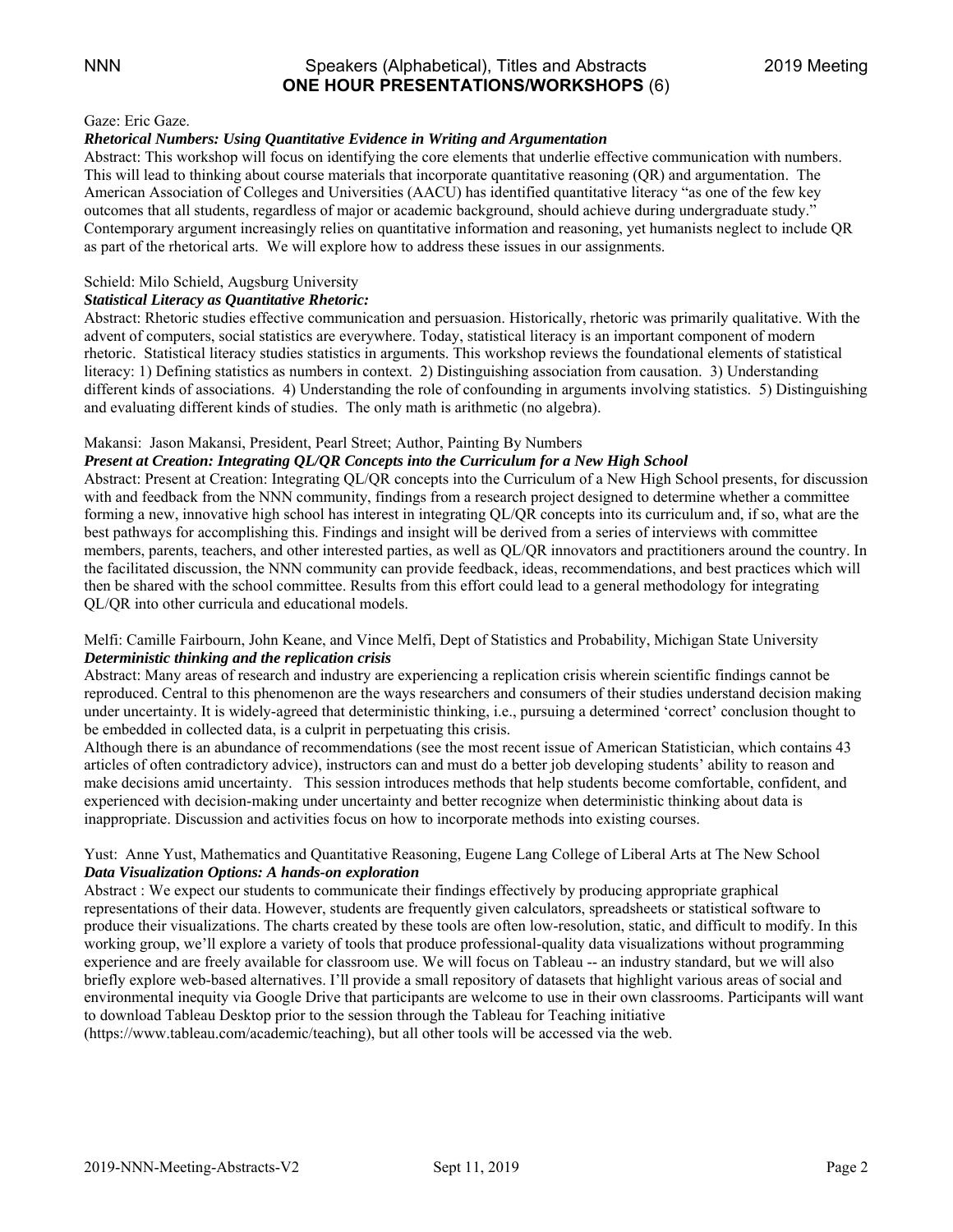#### NNN Speakers (Alphabetical), Titles and Abstracts 2019 Meeting **ONE HOUR PRESENTATIONS/WORKSHOPS** (6)

#### Gaze: Eric Gaze.

#### *Rhetorical Numbers: Using Quantitative Evidence in Writing and Argumentation*

Abstract: This workshop will focus on identifying the core elements that underlie effective communication with numbers. This will lead to thinking about course materials that incorporate quantitative reasoning (QR) and argumentation. The American Association of Colleges and Universities (AACU) has identified quantitative literacy "as one of the few key outcomes that all students, regardless of major or academic background, should achieve during undergraduate study." Contemporary argument increasingly relies on quantitative information and reasoning, yet humanists neglect to include QR as part of the rhetorical arts. We will explore how to address these issues in our assignments.

#### Schield: Milo Schield, Augsburg University

#### *Statistical Literacy as Quantitative Rhetoric:*

Abstract: Rhetoric studies effective communication and persuasion. Historically, rhetoric was primarily qualitative. With the advent of computers, social statistics are everywhere. Today, statistical literacy is an important component of modern rhetoric. Statistical literacy studies statistics in arguments. This workshop reviews the foundational elements of statistical literacy: 1) Defining statistics as numbers in context. 2) Distinguishing association from causation. 3) Understanding different kinds of associations. 4) Understanding the role of confounding in arguments involving statistics. 5) Distinguishing and evaluating different kinds of studies. The only math is arithmetic (no algebra).

#### Makansi: Jason Makansi, President, Pearl Street; Author, Painting By Numbers

#### *Present at Creation: Integrating QL/QR Concepts into the Curriculum for a New High School*

Abstract: Present at Creation: Integrating QL/QR concepts into the Curriculum of a New High School presents, for discussion with and feedback from the NNN community, findings from a research project designed to determine whether a committee forming a new, innovative high school has interest in integrating QL/QR concepts into its curriculum and, if so, what are the best pathways for accomplishing this. Findings and insight will be derived from a series of interviews with committee members, parents, teachers, and other interested parties, as well as QL/QR innovators and practitioners around the country. In the facilitated discussion, the NNN community can provide feedback, ideas, recommendations, and best practices which will then be shared with the school committee. Results from this effort could lead to a general methodology for integrating QL/QR into other curricula and educational models.

#### Melfi: Camille Fairbourn, John Keane, and Vince Melfi, Dept of Statistics and Probability, Michigan State University *Deterministic thinking and the replication crisis*

Abstract: Many areas of research and industry are experiencing a replication crisis wherein scientific findings cannot be reproduced. Central to this phenomenon are the ways researchers and consumers of their studies understand decision making under uncertainty. It is widely-agreed that deterministic thinking, i.e., pursuing a determined 'correct' conclusion thought to be embedded in collected data, is a culprit in perpetuating this crisis.

Although there is an abundance of recommendations (see the most recent issue of American Statistician, which contains 43 articles of often contradictory advice), instructors can and must do a better job developing students' ability to reason and make decisions amid uncertainty. This session introduces methods that help students become comfortable, confident, and experienced with decision-making under uncertainty and better recognize when deterministic thinking about data is inappropriate. Discussion and activities focus on how to incorporate methods into existing courses.

#### Yust: Anne Yust, Mathematics and Quantitative Reasoning, Eugene Lang College of Liberal Arts at The New School *Data Visualization Options: A hands-on exploration*

Abstract : We expect our students to communicate their findings effectively by producing appropriate graphical representations of their data. However, students are frequently given calculators, spreadsheets or statistical software to produce their visualizations. The charts created by these tools are often low-resolution, static, and difficult to modify. In this working group, we'll explore a variety of tools that produce professional-quality data visualizations without programming experience and are freely available for classroom use. We will focus on Tableau -- an industry standard, but we will also briefly explore web-based alternatives. I'll provide a small repository of datasets that highlight various areas of social and environmental inequity via Google Drive that participants are welcome to use in their own classrooms. Participants will want to download Tableau Desktop prior to the session through the Tableau for Teaching initiative (https://www.tableau.com/academic/teaching), but all other tools will be accessed via the web.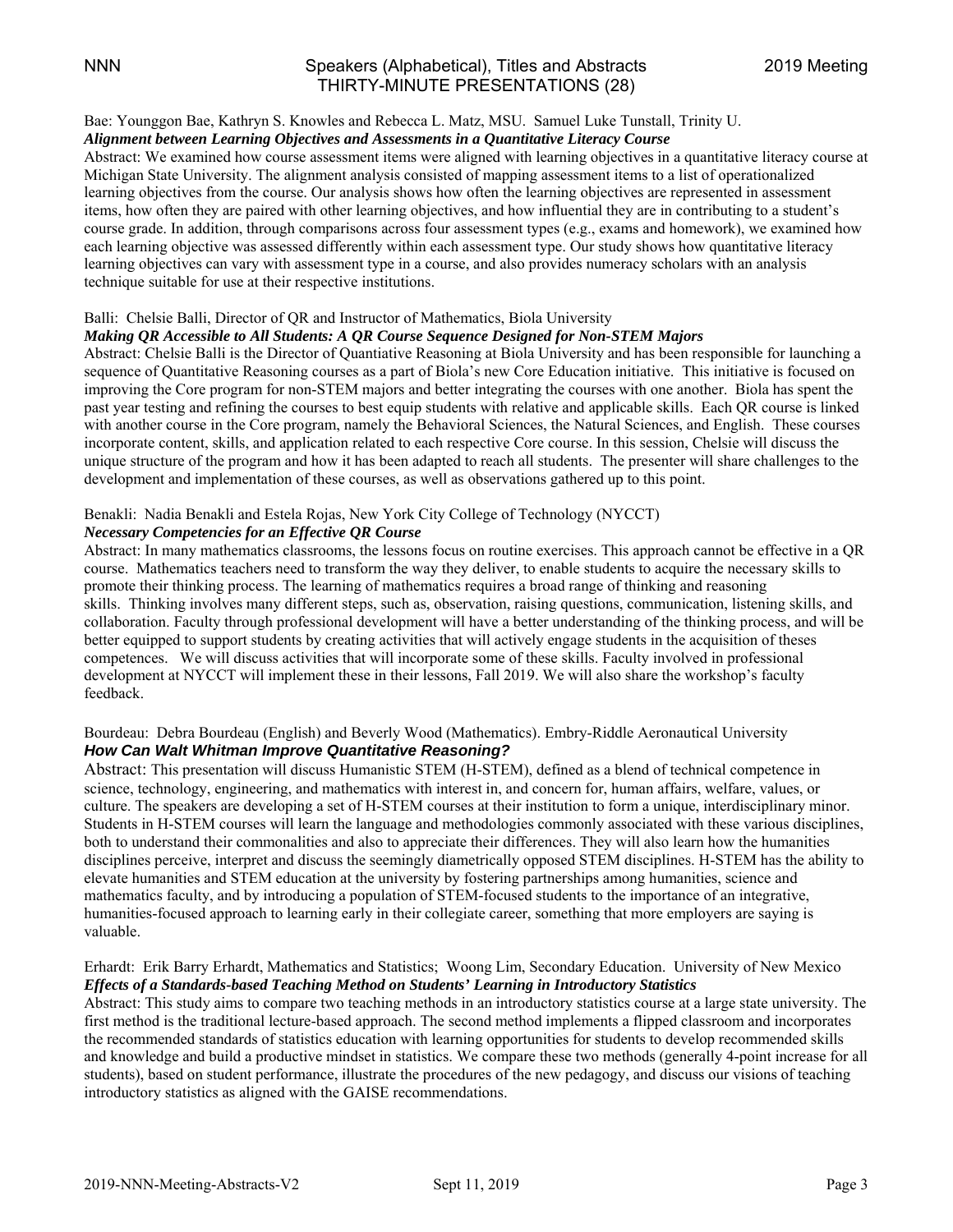#### NNN Speakers (Alphabetical), Titles and Abstracts 2019 Meeting THIRTY-MINUTE PRESENTATIONS (28)

#### Bae: Younggon Bae, Kathryn S. Knowles and Rebecca L. Matz, MSU. Samuel Luke Tunstall, Trinity U.

#### *Alignment between Learning Objectives and Assessments in a Quantitative Literacy Course*

Abstract: We examined how course assessment items were aligned with learning objectives in a quantitative literacy course at Michigan State University. The alignment analysis consisted of mapping assessment items to a list of operationalized learning objectives from the course. Our analysis shows how often the learning objectives are represented in assessment items, how often they are paired with other learning objectives, and how influential they are in contributing to a student's course grade. In addition, through comparisons across four assessment types (e.g., exams and homework), we examined how each learning objective was assessed differently within each assessment type. Our study shows how quantitative literacy learning objectives can vary with assessment type in a course, and also provides numeracy scholars with an analysis technique suitable for use at their respective institutions.

#### Balli: Chelsie Balli, Director of QR and Instructor of Mathematics, Biola University

#### *Making QR Accessible to All Students: A QR Course Sequence Designed for Non-STEM Majors*

Abstract: Chelsie Balli is the Director of Quantiative Reasoning at Biola University and has been responsible for launching a sequence of Quantitative Reasoning courses as a part of Biola's new Core Education initiative. This initiative is focused on improving the Core program for non-STEM majors and better integrating the courses with one another. Biola has spent the past year testing and refining the courses to best equip students with relative and applicable skills. Each QR course is linked with another course in the Core program, namely the Behavioral Sciences, the Natural Sciences, and English. These courses incorporate content, skills, and application related to each respective Core course. In this session, Chelsie will discuss the unique structure of the program and how it has been adapted to reach all students. The presenter will share challenges to the development and implementation of these courses, as well as observations gathered up to this point.

#### Benakli: Nadia Benakli and Estela Rojas, New York City College of Technology (NYCCT)

#### *Necessary Competencies for an Effective QR Course*

Abstract: In many mathematics classrooms, the lessons focus on routine exercises. This approach cannot be effective in a QR course. Mathematics teachers need to transform the way they deliver, to enable students to acquire the necessary skills to promote their thinking process. The learning of mathematics requires a broad range of thinking and reasoning skills. Thinking involves many different steps, such as, observation, raising questions, communication, listening skills, and collaboration. Faculty through professional development will have a better understanding of the thinking process, and will be better equipped to support students by creating activities that will actively engage students in the acquisition of theses competences. We will discuss activities that will incorporate some of these skills. Faculty involved in professional development at NYCCT will implement these in their lessons, Fall 2019. We will also share the workshop's faculty feedback.

#### Bourdeau: Debra Bourdeau (English) and Beverly Wood (Mathematics). Embry-Riddle Aeronautical University *How Can Walt Whitman Improve Quantitative Reasoning?*

Abstract: This presentation will discuss Humanistic STEM (H-STEM), defined as a blend of technical competence in science, technology, engineering, and mathematics with interest in, and concern for, human affairs, welfare, values, or culture. The speakers are developing a set of H-STEM courses at their institution to form a unique, interdisciplinary minor. Students in H-STEM courses will learn the language and methodologies commonly associated with these various disciplines, both to understand their commonalities and also to appreciate their differences. They will also learn how the humanities disciplines perceive, interpret and discuss the seemingly diametrically opposed STEM disciplines. H-STEM has the ability to elevate humanities and STEM education at the university by fostering partnerships among humanities, science and mathematics faculty, and by introducing a population of STEM-focused students to the importance of an integrative, humanities-focused approach to learning early in their collegiate career, something that more employers are saying is valuable.

#### Erhardt: Erik Barry Erhardt, Mathematics and Statistics; Woong Lim, Secondary Education. University of New Mexico *Effects of a Standards-based Teaching Method on Students' Learning in Introductory Statistics*

Abstract: This study aims to compare two teaching methods in an introductory statistics course at a large state university. The first method is the traditional lecture-based approach. The second method implements a flipped classroom and incorporates the recommended standards of statistics education with learning opportunities for students to develop recommended skills and knowledge and build a productive mindset in statistics. We compare these two methods (generally 4-point increase for all students), based on student performance, illustrate the procedures of the new pedagogy, and discuss our visions of teaching introductory statistics as aligned with the GAISE recommendations.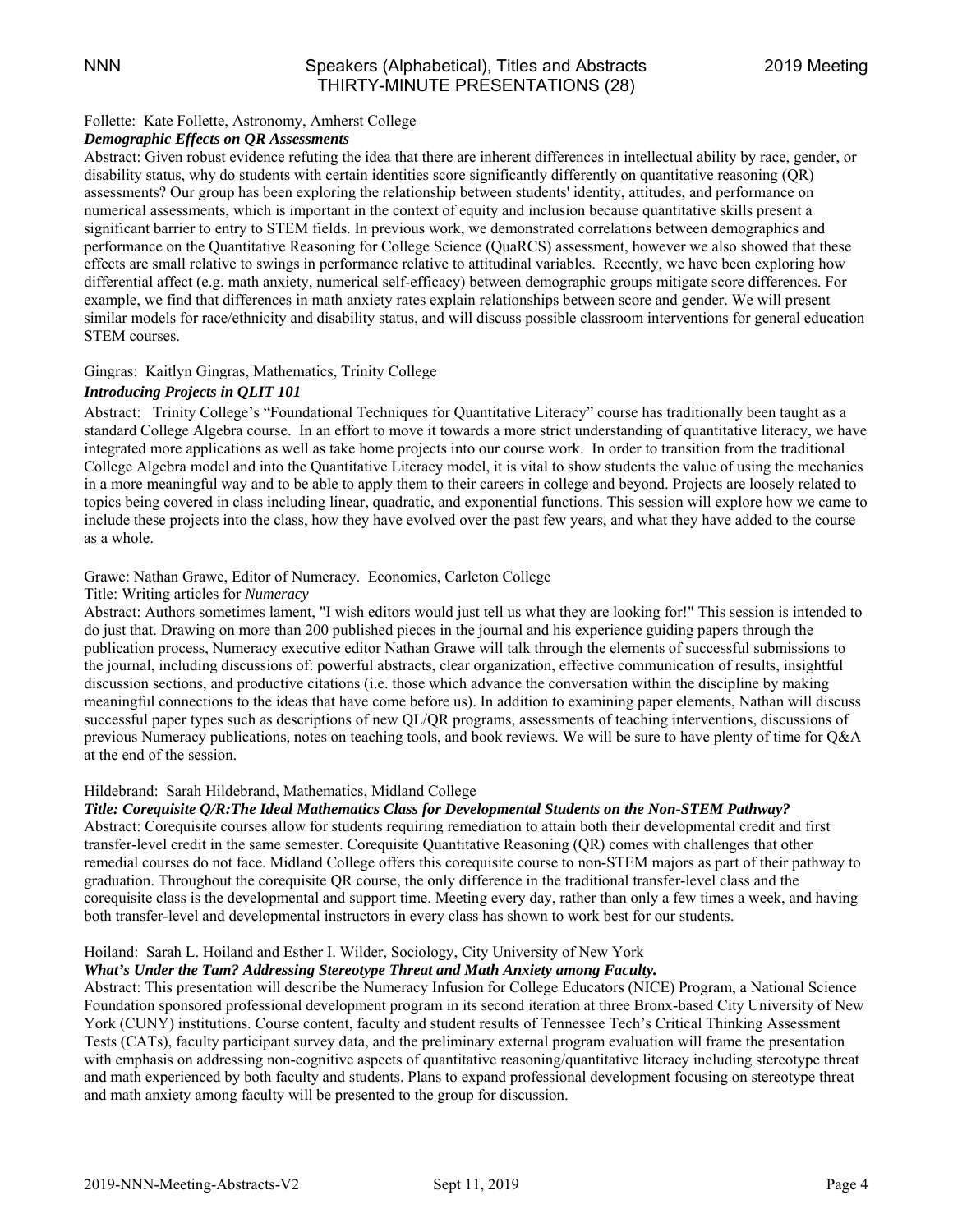#### Follette: Kate Follette, Astronomy, Amherst College

#### *Demographic Effects on QR Assessments*

Abstract: Given robust evidence refuting the idea that there are inherent differences in intellectual ability by race, gender, or disability status, why do students with certain identities score significantly differently on quantitative reasoning (QR) assessments? Our group has been exploring the relationship between students' identity, attitudes, and performance on numerical assessments, which is important in the context of equity and inclusion because quantitative skills present a significant barrier to entry to STEM fields. In previous work, we demonstrated correlations between demographics and performance on the Quantitative Reasoning for College Science (QuaRCS) assessment, however we also showed that these effects are small relative to swings in performance relative to attitudinal variables. Recently, we have been exploring how differential affect (e.g. math anxiety, numerical self-efficacy) between demographic groups mitigate score differences. For example, we find that differences in math anxiety rates explain relationships between score and gender. We will present similar models for race/ethnicity and disability status, and will discuss possible classroom interventions for general education STEM courses.

#### Gingras: Kaitlyn Gingras, Mathematics, Trinity College

#### *Introducing Projects in QLIT 101*

Abstract: Trinity College's "Foundational Techniques for Quantitative Literacy" course has traditionally been taught as a standard College Algebra course. In an effort to move it towards a more strict understanding of quantitative literacy, we have integrated more applications as well as take home projects into our course work. In order to transition from the traditional College Algebra model and into the Quantitative Literacy model, it is vital to show students the value of using the mechanics in a more meaningful way and to be able to apply them to their careers in college and beyond. Projects are loosely related to topics being covered in class including linear, quadratic, and exponential functions. This session will explore how we came to include these projects into the class, how they have evolved over the past few years, and what they have added to the course as a whole.

#### Grawe: Nathan Grawe, Editor of Numeracy. Economics, Carleton College

#### Title: Writing articles for *Numeracy*

Abstract: Authors sometimes lament, "I wish editors would just tell us what they are looking for!" This session is intended to do just that. Drawing on more than 200 published pieces in the journal and his experience guiding papers through the publication process, Numeracy executive editor Nathan Grawe will talk through the elements of successful submissions to the journal, including discussions of: powerful abstracts, clear organization, effective communication of results, insightful discussion sections, and productive citations (i.e. those which advance the conversation within the discipline by making meaningful connections to the ideas that have come before us). In addition to examining paper elements, Nathan will discuss successful paper types such as descriptions of new QL/QR programs, assessments of teaching interventions, discussions of previous Numeracy publications, notes on teaching tools, and book reviews. We will be sure to have plenty of time for Q&A at the end of the session.

#### Hildebrand: Sarah Hildebrand, Mathematics, Midland College

#### *Title: Corequisite Q/R:The Ideal Mathematics Class for Developmental Students on the Non-STEM Pathway?*

Abstract: Corequisite courses allow for students requiring remediation to attain both their developmental credit and first transfer-level credit in the same semester. Corequisite Quantitative Reasoning (QR) comes with challenges that other remedial courses do not face. Midland College offers this corequisite course to non-STEM majors as part of their pathway to graduation. Throughout the corequisite QR course, the only difference in the traditional transfer-level class and the corequisite class is the developmental and support time. Meeting every day, rather than only a few times a week, and having both transfer-level and developmental instructors in every class has shown to work best for our students.

#### Hoiland: Sarah L. Hoiland and Esther I. Wilder, Sociology, City University of New York

#### *What's Under the Tam? Addressing Stereotype Threat and Math Anxiety among Faculty.*

Abstract: This presentation will describe the Numeracy Infusion for College Educators (NICE) Program, a National Science Foundation sponsored professional development program in its second iteration at three Bronx-based City University of New York (CUNY) institutions. Course content, faculty and student results of Tennessee Tech's Critical Thinking Assessment Tests (CATs), faculty participant survey data, and the preliminary external program evaluation will frame the presentation with emphasis on addressing non-cognitive aspects of quantitative reasoning/quantitative literacy including stereotype threat and math experienced by both faculty and students. Plans to expand professional development focusing on stereotype threat and math anxiety among faculty will be presented to the group for discussion.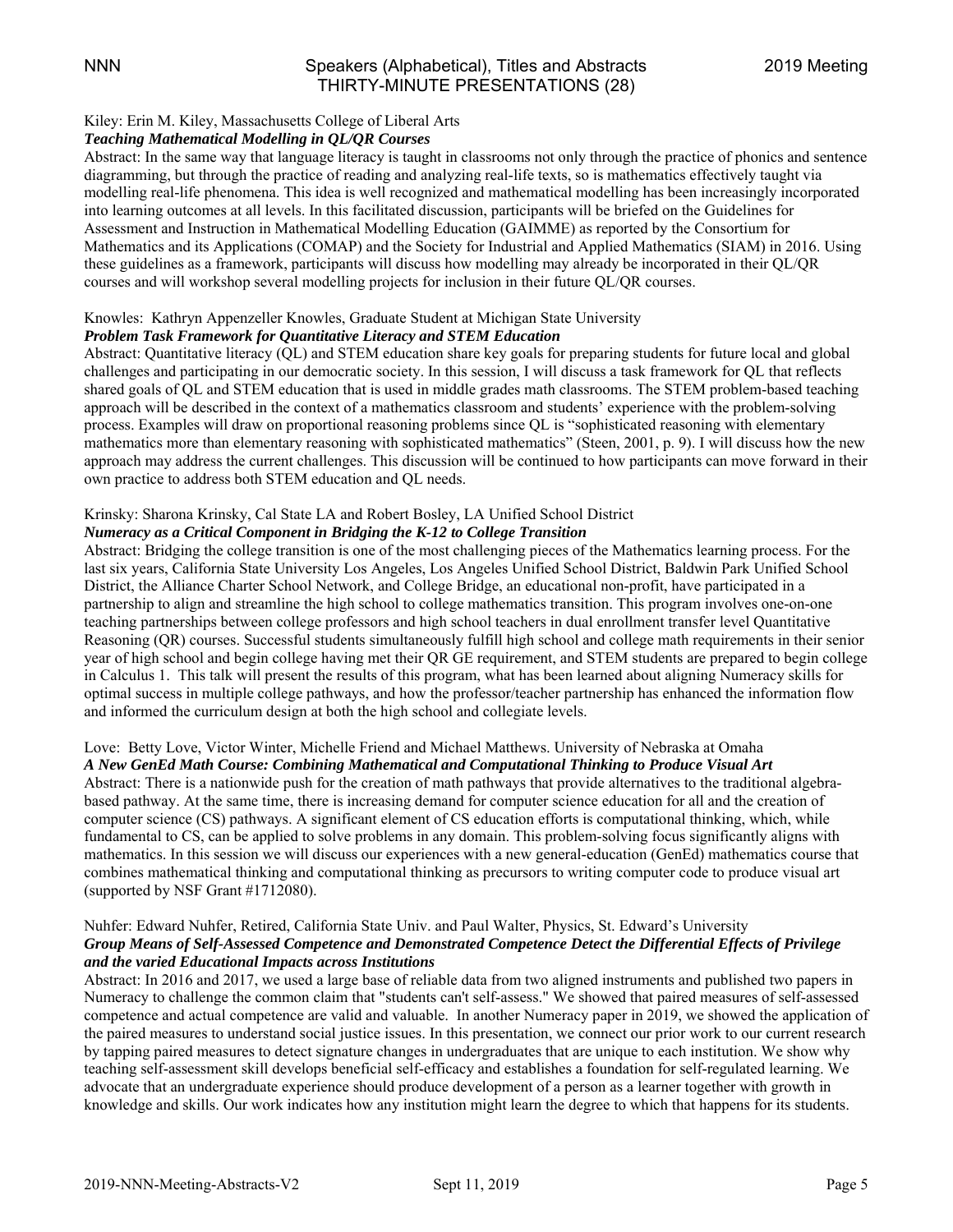#### Kiley: Erin M. Kiley, Massachusetts College of Liberal Arts

#### *Teaching Mathematical Modelling in QL/QR Courses*

Abstract: In the same way that language literacy is taught in classrooms not only through the practice of phonics and sentence diagramming, but through the practice of reading and analyzing real-life texts, so is mathematics effectively taught via modelling real-life phenomena. This idea is well recognized and mathematical modelling has been increasingly incorporated into learning outcomes at all levels. In this facilitated discussion, participants will be briefed on the Guidelines for Assessment and Instruction in Mathematical Modelling Education (GAIMME) as reported by the Consortium for Mathematics and its Applications (COMAP) and the Society for Industrial and Applied Mathematics (SIAM) in 2016. Using these guidelines as a framework, participants will discuss how modelling may already be incorporated in their QL/QR courses and will workshop several modelling projects for inclusion in their future QL/QR courses.

#### Knowles: Kathryn Appenzeller Knowles, Graduate Student at Michigan State University

#### *Problem Task Framework for Quantitative Literacy and STEM Education*

Abstract: Quantitative literacy (QL) and STEM education share key goals for preparing students for future local and global challenges and participating in our democratic society. In this session, I will discuss a task framework for QL that reflects shared goals of QL and STEM education that is used in middle grades math classrooms. The STEM problem-based teaching approach will be described in the context of a mathematics classroom and students' experience with the problem-solving process. Examples will draw on proportional reasoning problems since QL is "sophisticated reasoning with elementary mathematics more than elementary reasoning with sophisticated mathematics" (Steen, 2001, p. 9). I will discuss how the new approach may address the current challenges. This discussion will be continued to how participants can move forward in their own practice to address both STEM education and QL needs.

#### Krinsky: Sharona Krinsky, Cal State LA and Robert Bosley, LA Unified School District

#### *Numeracy as a Critical Component in Bridging the K-12 to College Transition*

Abstract: Bridging the college transition is one of the most challenging pieces of the Mathematics learning process. For the last six years, California State University Los Angeles, Los Angeles Unified School District, Baldwin Park Unified School District, the Alliance Charter School Network, and College Bridge, an educational non-profit, have participated in a partnership to align and streamline the high school to college mathematics transition. This program involves one-on-one teaching partnerships between college professors and high school teachers in dual enrollment transfer level Quantitative Reasoning (QR) courses. Successful students simultaneously fulfill high school and college math requirements in their senior year of high school and begin college having met their QR GE requirement, and STEM students are prepared to begin college in Calculus 1. This talk will present the results of this program, what has been learned about aligning Numeracy skills for optimal success in multiple college pathways, and how the professor/teacher partnership has enhanced the information flow and informed the curriculum design at both the high school and collegiate levels.

#### Love: Betty Love, Victor Winter, Michelle Friend and Michael Matthews. University of Nebraska at Omaha *A New GenEd Math Course: Combining Mathematical and Computational Thinking to Produce Visual Art*

Abstract: There is a nationwide push for the creation of math pathways that provide alternatives to the traditional algebrabased pathway. At the same time, there is increasing demand for computer science education for all and the creation of computer science (CS) pathways. A significant element of CS education efforts is computational thinking, which, while fundamental to CS, can be applied to solve problems in any domain. This problem-solving focus significantly aligns with mathematics. In this session we will discuss our experiences with a new general-education (GenEd) mathematics course that combines mathematical thinking and computational thinking as precursors to writing computer code to produce visual art (supported by NSF Grant #1712080).

#### Nuhfer: Edward Nuhfer, Retired, California State Univ. and Paul Walter, Physics, St. Edward's University *Group Means of Self-Assessed Competence and Demonstrated Competence Detect the Differential Effects of Privilege and the varied Educational Impacts across Institutions*

Abstract: In 2016 and 2017, we used a large base of reliable data from two aligned instruments and published two papers in Numeracy to challenge the common claim that "students can't self-assess." We showed that paired measures of self-assessed competence and actual competence are valid and valuable. In another Numeracy paper in 2019, we showed the application of the paired measures to understand social justice issues. In this presentation, we connect our prior work to our current research by tapping paired measures to detect signature changes in undergraduates that are unique to each institution. We show why teaching self-assessment skill develops beneficial self-efficacy and establishes a foundation for self-regulated learning. We advocate that an undergraduate experience should produce development of a person as a learner together with growth in knowledge and skills. Our work indicates how any institution might learn the degree to which that happens for its students.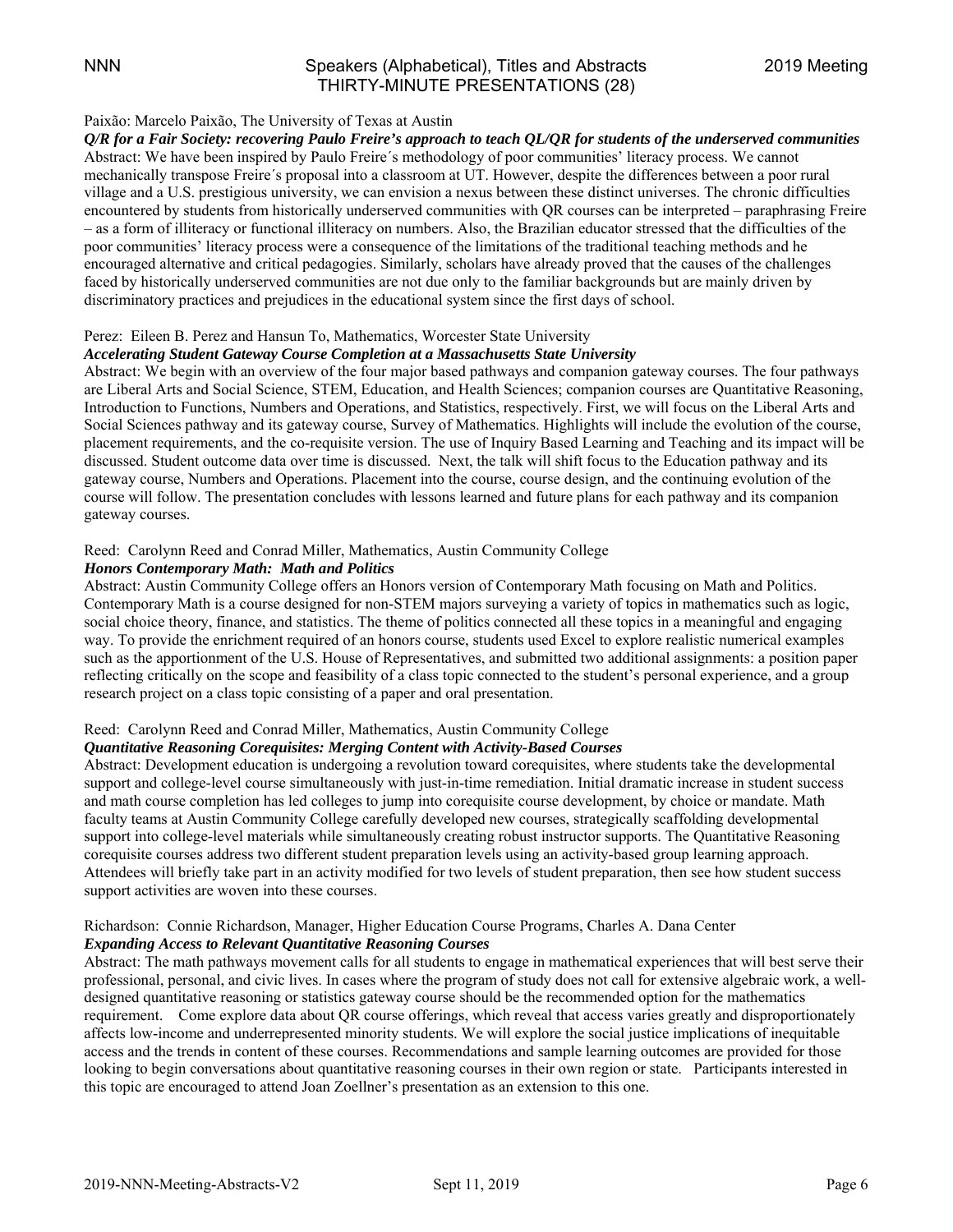#### Paixão: Marcelo Paixão, The University of Texas at Austin

*Q/R for a Fair Society: recovering Paulo Freire's approach to teach QL/QR for students of the underserved communities*  Abstract: We have been inspired by Paulo Freire´s methodology of poor communities' literacy process. We cannot mechanically transpose Freire´s proposal into a classroom at UT. However, despite the differences between a poor rural village and a U.S. prestigious university, we can envision a nexus between these distinct universes. The chronic difficulties encountered by students from historically underserved communities with QR courses can be interpreted – paraphrasing Freire – as a form of illiteracy or functional illiteracy on numbers. Also, the Brazilian educator stressed that the difficulties of the poor communities' literacy process were a consequence of the limitations of the traditional teaching methods and he encouraged alternative and critical pedagogies. Similarly, scholars have already proved that the causes of the challenges faced by historically underserved communities are not due only to the familiar backgrounds but are mainly driven by discriminatory practices and prejudices in the educational system since the first days of school.

#### Perez: Eileen B. Perez and Hansun To, Mathematics, Worcester State University

#### *Accelerating Student Gateway Course Completion at a Massachusetts State University*

Abstract: We begin with an overview of the four major based pathways and companion gateway courses. The four pathways are Liberal Arts and Social Science, STEM, Education, and Health Sciences; companion courses are Quantitative Reasoning, Introduction to Functions, Numbers and Operations, and Statistics, respectively. First, we will focus on the Liberal Arts and Social Sciences pathway and its gateway course, Survey of Mathematics. Highlights will include the evolution of the course, placement requirements, and the co-requisite version. The use of Inquiry Based Learning and Teaching and its impact will be discussed. Student outcome data over time is discussed. Next, the talk will shift focus to the Education pathway and its gateway course, Numbers and Operations. Placement into the course, course design, and the continuing evolution of the course will follow. The presentation concludes with lessons learned and future plans for each pathway and its companion gateway courses.

#### Reed: Carolynn Reed and Conrad Miller, Mathematics, Austin Community College

#### *Honors Contemporary Math: Math and Politics*

Abstract: Austin Community College offers an Honors version of Contemporary Math focusing on Math and Politics. Contemporary Math is a course designed for non-STEM majors surveying a variety of topics in mathematics such as logic, social choice theory, finance, and statistics. The theme of politics connected all these topics in a meaningful and engaging way. To provide the enrichment required of an honors course, students used Excel to explore realistic numerical examples such as the apportionment of the U.S. House of Representatives, and submitted two additional assignments: a position paper reflecting critically on the scope and feasibility of a class topic connected to the student's personal experience, and a group research project on a class topic consisting of a paper and oral presentation.

#### Reed: Carolynn Reed and Conrad Miller, Mathematics, Austin Community College

#### *Quantitative Reasoning Corequisites: Merging Content with Activity-Based Courses*

Abstract: Development education is undergoing a revolution toward corequisites, where students take the developmental support and college-level course simultaneously with just-in-time remediation. Initial dramatic increase in student success and math course completion has led colleges to jump into corequisite course development, by choice or mandate. Math faculty teams at Austin Community College carefully developed new courses, strategically scaffolding developmental support into college-level materials while simultaneously creating robust instructor supports. The Quantitative Reasoning corequisite courses address two different student preparation levels using an activity-based group learning approach. Attendees will briefly take part in an activity modified for two levels of student preparation, then see how student success support activities are woven into these courses.

#### Richardson: Connie Richardson, Manager, Higher Education Course Programs, Charles A. Dana Center *Expanding Access to Relevant Quantitative Reasoning Courses*

Abstract: The math pathways movement calls for all students to engage in mathematical experiences that will best serve their professional, personal, and civic lives. In cases where the program of study does not call for extensive algebraic work, a welldesigned quantitative reasoning or statistics gateway course should be the recommended option for the mathematics requirement. Come explore data about QR course offerings, which reveal that access varies greatly and disproportionately affects low-income and underrepresented minority students. We will explore the social justice implications of inequitable access and the trends in content of these courses. Recommendations and sample learning outcomes are provided for those looking to begin conversations about quantitative reasoning courses in their own region or state. Participants interested in this topic are encouraged to attend Joan Zoellner's presentation as an extension to this one.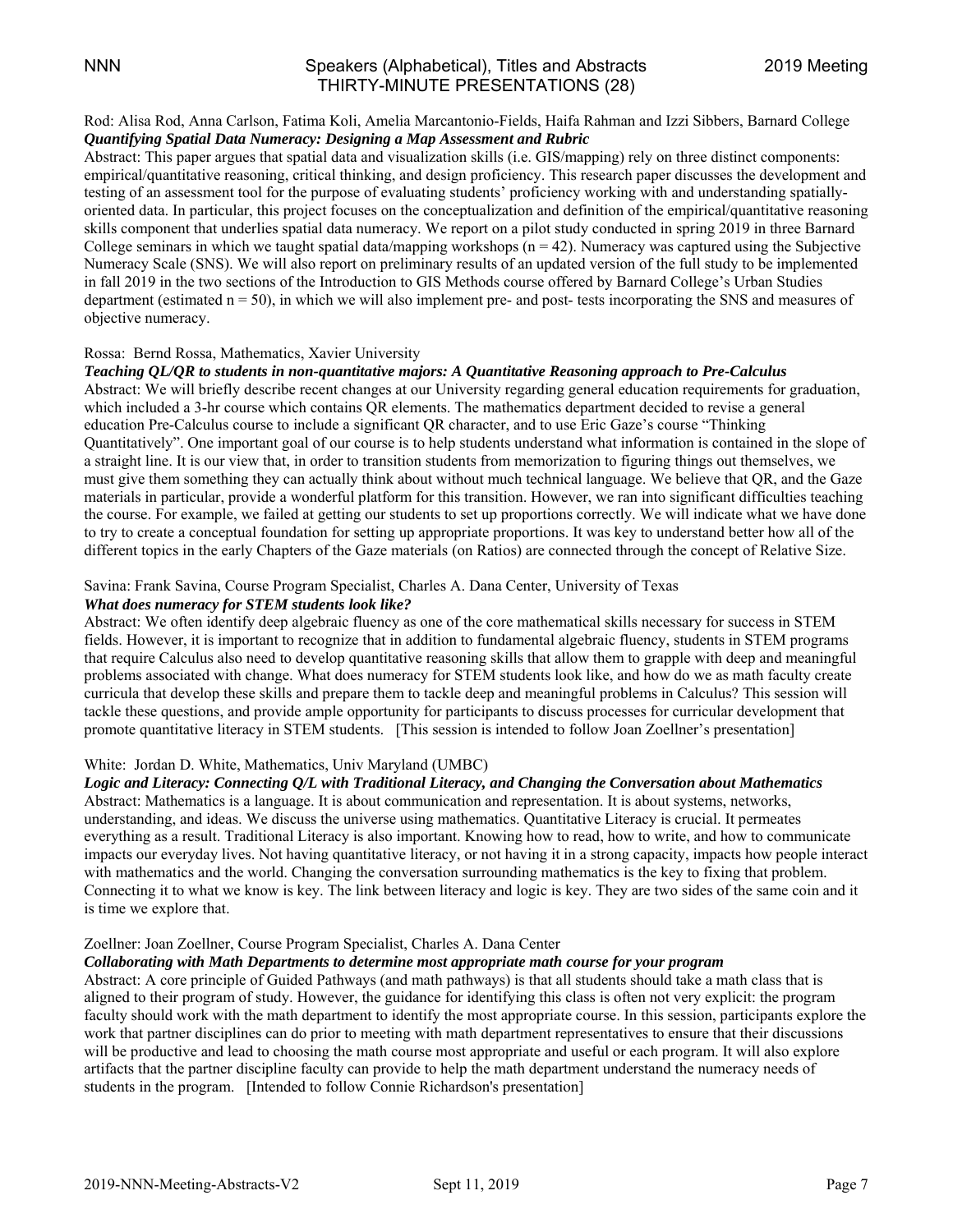#### NNN Speakers (Alphabetical), Titles and Abstracts 2019 Meeting THIRTY-MINUTE PRESENTATIONS (28)

#### Rod: Alisa Rod, Anna Carlson, Fatima Koli, Amelia Marcantonio-Fields, Haifa Rahman and Izzi Sibbers, Barnard College *Quantifying Spatial Data Numeracy: Designing a Map Assessment and Rubric*

Abstract: This paper argues that spatial data and visualization skills (i.e. GIS/mapping) rely on three distinct components: empirical/quantitative reasoning, critical thinking, and design proficiency. This research paper discusses the development and testing of an assessment tool for the purpose of evaluating students' proficiency working with and understanding spatiallyoriented data. In particular, this project focuses on the conceptualization and definition of the empirical/quantitative reasoning skills component that underlies spatial data numeracy. We report on a pilot study conducted in spring 2019 in three Barnard College seminars in which we taught spatial data/mapping workshops  $(n = 42)$ . Numeracy was captured using the Subjective Numeracy Scale (SNS). We will also report on preliminary results of an updated version of the full study to be implemented in fall 2019 in the two sections of the Introduction to GIS Methods course offered by Barnard College's Urban Studies department (estimated  $n = 50$ ), in which we will also implement pre- and post- tests incorporating the SNS and measures of objective numeracy.

#### Rossa: Bernd Rossa, Mathematics, Xavier University

#### *Teaching QL/QR to students in non-quantitative majors: A Quantitative Reasoning approach to Pre-Calculus*

Abstract: We will briefly describe recent changes at our University regarding general education requirements for graduation, which included a 3-hr course which contains QR elements. The mathematics department decided to revise a general education Pre-Calculus course to include a significant QR character, and to use Eric Gaze's course "Thinking Quantitatively". One important goal of our course is to help students understand what information is contained in the slope of a straight line. It is our view that, in order to transition students from memorization to figuring things out themselves, we must give them something they can actually think about without much technical language. We believe that QR, and the Gaze materials in particular, provide a wonderful platform for this transition. However, we ran into significant difficulties teaching the course. For example, we failed at getting our students to set up proportions correctly. We will indicate what we have done to try to create a conceptual foundation for setting up appropriate proportions. It was key to understand better how all of the different topics in the early Chapters of the Gaze materials (on Ratios) are connected through the concept of Relative Size.

#### Savina: Frank Savina, Course Program Specialist, Charles A. Dana Center, University of Texas

#### *What does numeracy for STEM students look like?*

Abstract: We often identify deep algebraic fluency as one of the core mathematical skills necessary for success in STEM fields. However, it is important to recognize that in addition to fundamental algebraic fluency, students in STEM programs that require Calculus also need to develop quantitative reasoning skills that allow them to grapple with deep and meaningful problems associated with change. What does numeracy for STEM students look like, and how do we as math faculty create curricula that develop these skills and prepare them to tackle deep and meaningful problems in Calculus? This session will tackle these questions, and provide ample opportunity for participants to discuss processes for curricular development that promote quantitative literacy in STEM students. [This session is intended to follow Joan Zoellner's presentation]

#### White: Jordan D. White, Mathematics, Univ Maryland (UMBC)

#### *Logic and Literacy: Connecting Q/L with Traditional Literacy, and Changing the Conversation about Mathematics*

Abstract: Mathematics is a language. It is about communication and representation. It is about systems, networks, understanding, and ideas. We discuss the universe using mathematics. Quantitative Literacy is crucial. It permeates everything as a result. Traditional Literacy is also important. Knowing how to read, how to write, and how to communicate impacts our everyday lives. Not having quantitative literacy, or not having it in a strong capacity, impacts how people interact with mathematics and the world. Changing the conversation surrounding mathematics is the key to fixing that problem. Connecting it to what we know is key. The link between literacy and logic is key. They are two sides of the same coin and it is time we explore that.

#### Zoellner: Joan Zoellner, Course Program Specialist, Charles A. Dana Center

#### *Collaborating with Math Departments to determine most appropriate math course for your program*

Abstract: A core principle of Guided Pathways (and math pathways) is that all students should take a math class that is aligned to their program of study. However, the guidance for identifying this class is often not very explicit: the program faculty should work with the math department to identify the most appropriate course. In this session, participants explore the work that partner disciplines can do prior to meeting with math department representatives to ensure that their discussions will be productive and lead to choosing the math course most appropriate and useful or each program. It will also explore artifacts that the partner discipline faculty can provide to help the math department understand the numeracy needs of students in the program. [Intended to follow Connie Richardson's presentation]